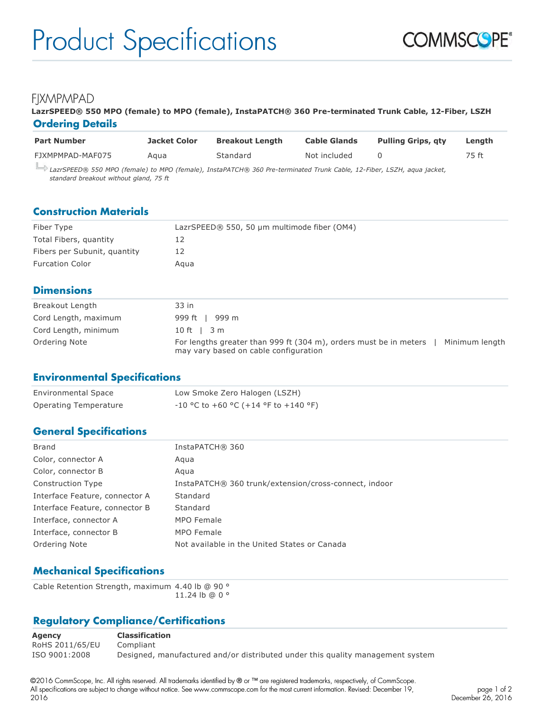# **FIXMPMPAD**

#### **LazrSPEED® 550 MPO (female) to MPO (female), InstaPATCH® 360 Pre-terminated Trunk Cable, 12-Fiber, LSZH Ordering Details**

| <b>Part Number</b>                                                                                                 | Jacket Color | <b>Breakout Length</b> | <b>Cable Glands</b> | <b>Pulling Grips, gty</b> | Lenath |
|--------------------------------------------------------------------------------------------------------------------|--------------|------------------------|---------------------|---------------------------|--------|
| FJXMPMPAD-MAF075                                                                                                   | Aaua         | Standard               | Not included        |                           | 75 ft  |
| 1375 (DEED® 550 MDQ (fomale) to MDQ (fomale) Installate a 360 Pre-terminated Trunk Cable 12-Eiber 1574 agus iasket |              |                        |                     |                           |        |

*LazrSPEED® 550 MPO (female) to MPO (female), InstaPATCH® 360 Pre-terminated Trunk Cable, 12-Fiber, LSZH, aqua jacket, standard breakout without gland, 75 ft*

#### **Construction Materials**

| Fiber Type                   | LazrSPEED® 550, 50 µm multimode fiber (OM4) |
|------------------------------|---------------------------------------------|
| Total Fibers, quantity       |                                             |
| Fibers per Subunit, quantity | L2                                          |
| <b>Furcation Color</b>       | Aaua                                        |

#### **Dimensions**

| Breakout Length      | 33 in                                                                                                                        |
|----------------------|------------------------------------------------------------------------------------------------------------------------------|
| Cord Length, maximum | 999 ft   999 m                                                                                                               |
| Cord Length, minimum | $10 \text{ ft}$   $3 \text{ m}$                                                                                              |
| Ordering Note        | For lengths greater than 999 ft (304 m), orders must be in meters<br>Minimum length<br>may vary based on cable configuration |

#### **Environmental Specifications**

| <b>Environmental Space</b> | Low Smoke Zero Halogen (LSZH)          |
|----------------------------|----------------------------------------|
| Operating Temperature      | $-10$ °C to +60 °C (+14 °F to +140 °F) |

## **General Specifications**

| Brand                          | InstaPATCH® 360                                       |
|--------------------------------|-------------------------------------------------------|
| Color, connector A             | Agua                                                  |
| Color, connector B             | Agua                                                  |
| <b>Construction Type</b>       | InstaPATCH® 360 trunk/extension/cross-connect, indoor |
| Interface Feature, connector A | Standard                                              |
| Interface Feature, connector B | Standard                                              |
| Interface, connector A         | MPO Female                                            |
| Interface, connector B         | MPO Female                                            |
| Ordering Note                  | Not available in the United States or Canada          |
|                                |                                                       |

## **Mechanical Specifications**

Cable Retention Strength, maximum 4.40 lb @ 90 ° 11.24 lb @ 0 °

# **Regulatory Compliance/Certifications**

**Agency Classification** RoHS 2011/65/EU Compliant ISO 9001:2008 Designed, manufactured and/or distributed under this quality management system

©2016 CommScope, Inc. All rights reserved. All trademarks identified by ® or ™ are registered trademarks, respectively, of CommScope. All specifications are subject to change without notice. See www.commscope.com for the most current information. Revised: December 19, 2016